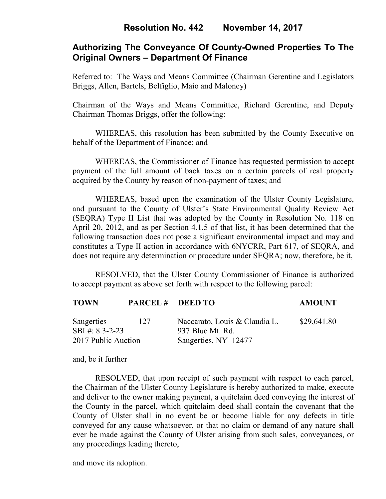# **Resolution No. 442 November 14, 2017**

# **Authorizing The Conveyance Of County-Owned Properties To The Original Owners – Department Of Finance**

Referred to: The Ways and Means Committee (Chairman Gerentine and Legislators Briggs, Allen, Bartels, Belfiglio, Maio and Maloney)

Chairman of the Ways and Means Committee, Richard Gerentine, and Deputy Chairman Thomas Briggs, offer the following:

WHEREAS, this resolution has been submitted by the County Executive on behalf of the Department of Finance; and

WHEREAS, the Commissioner of Finance has requested permission to accept payment of the full amount of back taxes on a certain parcels of real property acquired by the County by reason of non-payment of taxes; and

WHEREAS, based upon the examination of the Ulster County Legislature, and pursuant to the County of Ulster's State Environmental Quality Review Act (SEQRA) Type II List that was adopted by the County in Resolution No. 118 on April 20, 2012, and as per Section 4.1.5 of that list, it has been determined that the following transaction does not pose a significant environmental impact and may and constitutes a Type II action in accordance with 6NYCRR, Part 617, of SEQRA, and does not require any determination or procedure under SEQRA; now, therefore, be it,

RESOLVED, that the Ulster County Commissioner of Finance is authorized to accept payment as above set forth with respect to the following parcel:

| <b>TOWN</b>                  | PARCEL # DEED TO |                                                   | <b>AMOUNT</b> |
|------------------------------|------------------|---------------------------------------------------|---------------|
| Saugerties<br>SBL#: 8.3-2-23 | 127              | Naccarato, Louis & Claudia L.<br>937 Blue Mt. Rd. | \$29,641.80   |
| 2017 Public Auction          |                  | Saugerties, NY 12477                              |               |

and, be it further

RESOLVED, that upon receipt of such payment with respect to each parcel, the Chairman of the Ulster County Legislature is hereby authorized to make, execute and deliver to the owner making payment, a quitclaim deed conveying the interest of the County in the parcel, which quitclaim deed shall contain the covenant that the County of Ulster shall in no event be or become liable for any defects in title conveyed for any cause whatsoever, or that no claim or demand of any nature shall ever be made against the County of Ulster arising from such sales, conveyances, or any proceedings leading thereto,

and move its adoption.